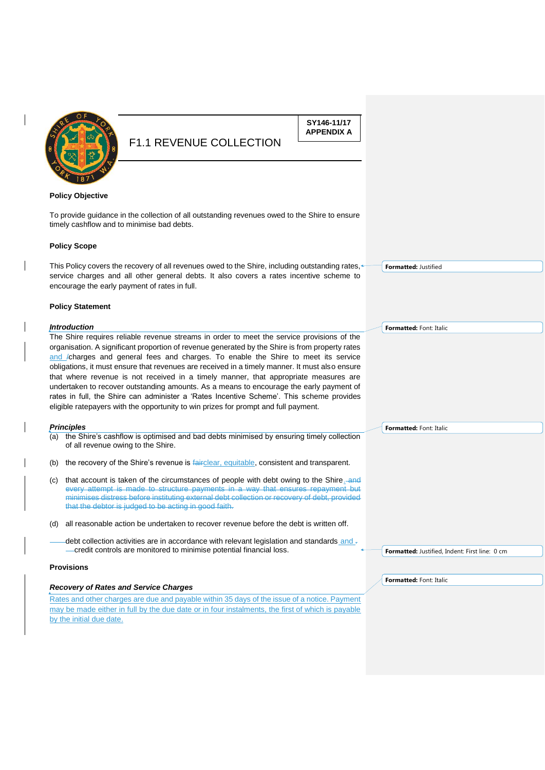

**SY146-11/17 APPENDIX A**

#### **Policy Objective**

To provide guidance in the collection of all outstanding revenues owed to the Shire to ensure timely cashflow and to minimise bad debts.

#### **Policy Scope**

This Policy covers the recovery of all revenues owed to the Shire, including outstanding rates, service charges and all other general debts. It also covers a rates incentive scheme to encourage the early payment of rates in full.

#### **Policy Statement**

#### *Introduction*

The Shire requires reliable revenue streams in order to meet the service provisions of the organisation. A significant proportion of revenue generated by the Shire is from property rates and /charges and general fees and charges. To enable the Shire to meet its service obligations, it must ensure that revenues are received in a timely manner. It must also ensure that where revenue is not received in a timely manner, that appropriate measures are undertaken to recover outstanding amounts. As a means to encourage the early payment of rates in full, the Shire can administer a 'Rates Incentive Scheme'. This scheme provides eligible ratepayers with the opportunity to win prizes for prompt and full payment.

#### *Principles*

- (a) the Shire's cashflow is optimised and bad debts minimised by ensuring timely collection of all revenue owing to the Shire.
- (b) the recovery of the Shire's revenue is fairclear, equitable, consistent and transparent.
- (c) that account is taken of the circumstances of people with debt owing to the Shire. and every attempt is made to structure payments in a way that ensures repayment but minimises distress before instituting external debt collection or recovery of debt, provided that the debtor is judged to be acting in good faith.
- (d) all reasonable action be undertaken to recover revenue before the debt is written off.
- debt collection activities are in accordance with relevant legislation and standards and -- credit controls are monitored to minimise potential financial loss.

#### **Provisions**

#### *Recovery of Rates and Service Charges*

Rates and other charges are due and payable within 35 days of the issue of a notice. Payment may be made either in full by the due date or in four instalments, the first of which is payable by the initial due date.

**Formatted:** Font: Italic

**Formatted:** Justified

**Formatted:** Font: Italic

**Formatted:** Justified, Indent: First line: 0 cm

**Formatted:** Font: Italic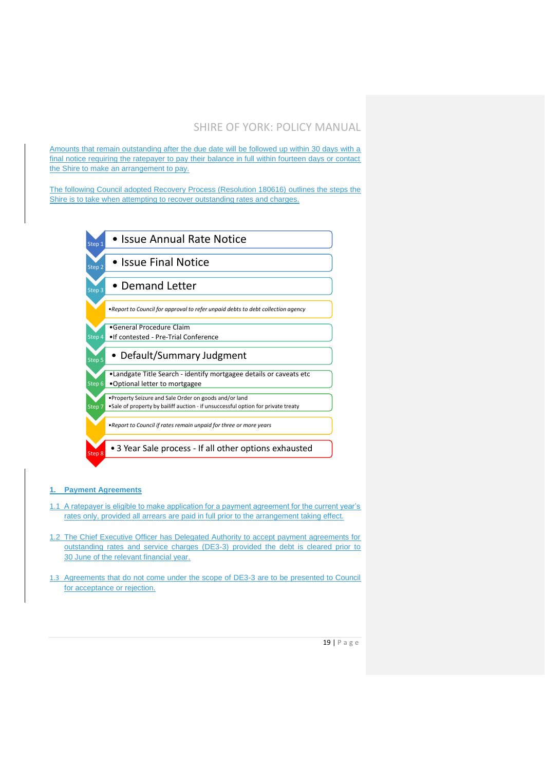Amounts that remain outstanding after the due date will be followed up within 30 days with a final notice requiring the ratepayer to pay their balance in full within fourteen days or contact the Shire to make an arrangement to pay.

The following Council adopted Recovery Process (Resolution 180616) outlines the steps the Shire is to take when attempting to recover outstanding rates and charges.



### **1. Payment Agreements**

- 1.1 A ratepayer is eligible to make application for a payment agreement for the current year's rates only, provided all arrears are paid in full prior to the arrangement taking effect.
- 1.2 The Chief Executive Officer has Delegated Authority to accept payment agreements for outstanding rates and service charges (DE3-3) provided the debt is cleared prior to 30 June of the relevant financial year.
- 1.3 Agreements that do not come under the scope of DE3-3 are to be presented to Council for acceptance or rejection.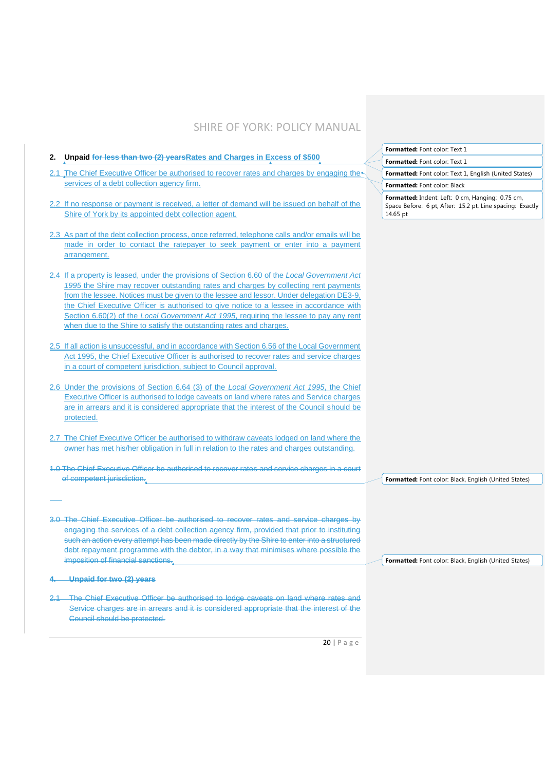|                                                                                                                                                                                                                                                                                                                                                                                                                                                                                                                                               | <b>Formatted:</b> Font color: Text 1                                                                                      |
|-----------------------------------------------------------------------------------------------------------------------------------------------------------------------------------------------------------------------------------------------------------------------------------------------------------------------------------------------------------------------------------------------------------------------------------------------------------------------------------------------------------------------------------------------|---------------------------------------------------------------------------------------------------------------------------|
| 2. Unpaid for less than two (2) years Rates and Charges in Excess of \$500                                                                                                                                                                                                                                                                                                                                                                                                                                                                    | Formatted: Font color: Text 1                                                                                             |
| 2.1 The Chief Executive Officer be authorised to recover rates and charges by engaging the                                                                                                                                                                                                                                                                                                                                                                                                                                                    | Formatted: Font color: Text 1, English (United States)                                                                    |
| services of a debt collection agency firm.                                                                                                                                                                                                                                                                                                                                                                                                                                                                                                    | Formatted: Font color: Black                                                                                              |
| 2.2 If no response or payment is received, a letter of demand will be issued on behalf of the<br>Shire of York by its appointed debt collection agent.                                                                                                                                                                                                                                                                                                                                                                                        | Formatted: Indent: Left: 0 cm, Hanging: 0.75 cm,<br>Space Before: 6 pt, After: 15.2 pt, Line spacing: Exactly<br>14.65 pt |
| 2.3 As part of the debt collection process, once referred, telephone calls and/or emails will be<br>made in order to contact the ratepayer to seek payment or enter into a payment<br>arrangement.                                                                                                                                                                                                                                                                                                                                            |                                                                                                                           |
| 2.4 If a property is leased, under the provisions of Section 6.60 of the Local Government Act<br>1995 the Shire may recover outstanding rates and charges by collecting rent payments<br>from the lessee. Notices must be given to the lessee and lessor. Under delegation DE3-9,<br>the Chief Executive Officer is authorised to give notice to a lessee in accordance with<br>Section 6.60(2) of the Local Government Act 1995, requiring the lessee to pay any rent<br>when due to the Shire to satisfy the outstanding rates and charges. |                                                                                                                           |
| 2.5 If all action is unsuccessful, and in accordance with Section 6.56 of the Local Government<br>Act 1995, the Chief Executive Officer is authorised to recover rates and service charges<br>in a court of competent jurisdiction, subject to Council approval.                                                                                                                                                                                                                                                                              |                                                                                                                           |
| 2.6 Under the provisions of Section 6.64 (3) of the Local Government Act 1995, the Chief<br>Executive Officer is authorised to lodge caveats on land where rates and Service charges<br>are in arrears and it is considered appropriate that the interest of the Council should be<br>protected.                                                                                                                                                                                                                                              |                                                                                                                           |
| 2.7 The Chief Executive Officer be authorised to withdraw caveats lodged on land where the<br>owner has met his/her obligation in full in relation to the rates and charges outstanding.                                                                                                                                                                                                                                                                                                                                                      |                                                                                                                           |
| 1.0 The Chief Executive Officer be authorised to recover rates and service charges in a court<br>of competent jurisdiction.                                                                                                                                                                                                                                                                                                                                                                                                                   | Formatted: Font color: Black, English (United States)                                                                     |
|                                                                                                                                                                                                                                                                                                                                                                                                                                                                                                                                               |                                                                                                                           |
| 3.0 The Chief Executive Officer be authorised to recover rates and service charges by<br>engaging the services of a debt collection agency firm, provided that prior to instituting<br>such an action every attempt has been made directly by the Shire to enter into a structured<br>debt repayment programme with the debtor, in a way that minimises where possible the<br>imposition of financial sanctions.                                                                                                                              | Formatted: Font color: Black, English (United States)                                                                     |
| Unpaid for two (2) years                                                                                                                                                                                                                                                                                                                                                                                                                                                                                                                      |                                                                                                                           |
| The Chief Executive Officer be authorised to lodge caveats on land where rates and<br>Service charges are in arrears and it is considered appropriate that the interest of the<br>Council should be protected.                                                                                                                                                                                                                                                                                                                                |                                                                                                                           |
| $20$   Page                                                                                                                                                                                                                                                                                                                                                                                                                                                                                                                                   |                                                                                                                           |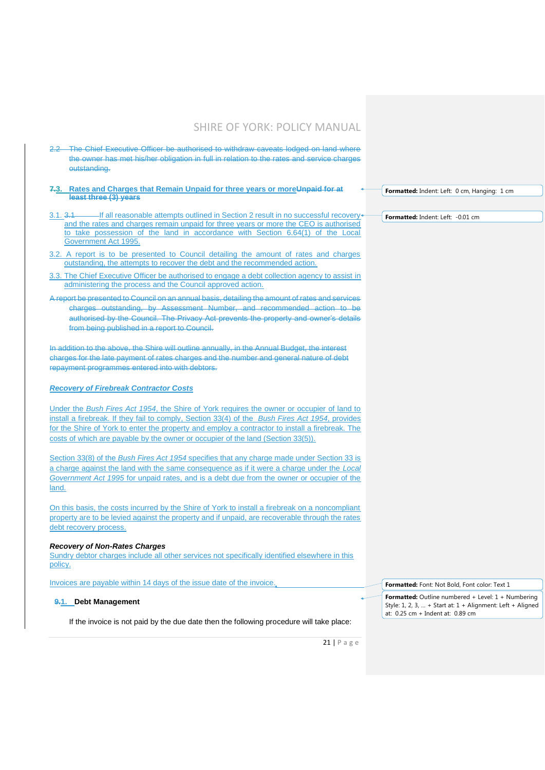- 2.2 The Chief Executive Officer be authorised to withdraw caveats lodged on land where the owner has met his/her obligation in full in relation to the rates and service charges outstanding.
- **7.3. Rates and Charges that Remain Unpaid for three years or moreUnpaid for at least three (3) years**
- 3.1. 3.1 If all reasonable attempts outlined in Section 2 result in no successful recovery and the rates and charges remain unpaid for three years or more the CEO is authorised to take possession of the land in accordance with Section 6.64(1) of the Local Government Act 1995.
- 3.2. A report is to be presented to Council detailing the amount of rates and charges outstanding, the attempts to recover the debt and the recommended action.
- 3.3. The Chief Executive Officer be authorised to engage a debt collection agency to assist in administering the process and the Council approved action.
- A report be presented to Council on an annual basis, detailing the amount of rates and services charges outstanding, by Assessment Number, and recommended action to be authorised by the Council. The Privacy Act prevents the property and owner's details from being published in a report to Council.

In addition to the above, the Shire will outline annually, in the Annual Budget, the interest charges for the late payment of rates charges and the number and general nature of debt repayment programmes entered into with debtors.

### *Recovery of Firebreak Contractor Costs*

Under the *Bush Fires Act 1954*, the Shire of York requires the owner or occupier of land to install a firebreak. If they fail to comply, Section 33(4) of the *Bush Fires Act 1954*, provides for the Shire of York to enter the property and employ a contractor to install a firebreak. The costs of which are payable by the owner or occupier of the land (Section 33(5)).

Section 33(8) of the *Bush Fires Act 1954* specifies that any charge made under Section 33 is a charge against the land with the same consequence as if it were a charge under the *Local Government Act 1995* for unpaid rates, and is a debt due from the owner or occupier of the land.

On this basis, the costs incurred by the Shire of York to install a firebreak on a noncompliant property are to be levied against the property and if unpaid, are recoverable through the rates debt recovery process.

#### *Recovery of Non-Rates Charges*

Sundry debtor charges include all other services not specifically identified elsewhere in this policy.

Invoices are payable within 14 days of the issue date of the invoice.

**9.1. Debt Management**

If the invoice is not paid by the due date then the following procedure will take place:

**Formatted:** Indent: Left: 0 cm, Hanging: 1 cm

**Formatted:** Indent: Left: -0.01 cm

**Formatted:** Outline numbered + Level: 1 + Numbering

**Formatted:** Font: Not Bold, Font color: Text 1

Style: 1, 2, 3, … + Start at: 1 + Alignment: Left + Aligned at: 0.25 cm + Indent at: 0.89 cm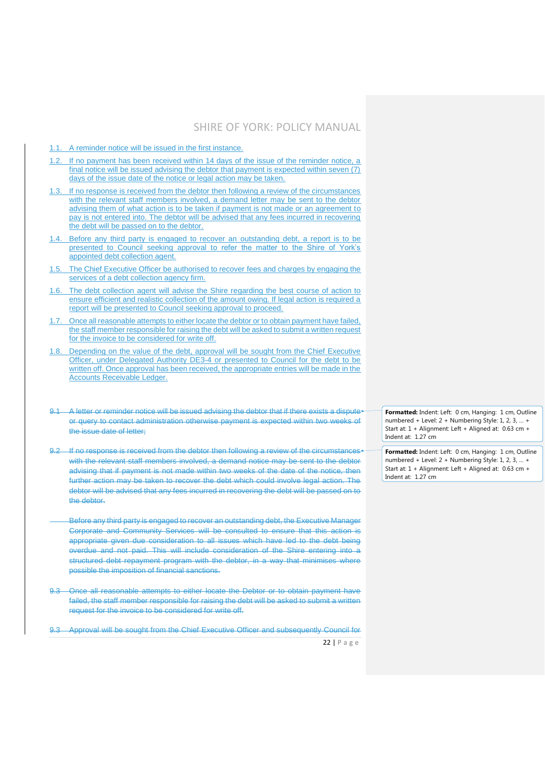- 1.1. A reminder notice will be issued in the first instance.
- 1.2. If no payment has been received within 14 days of the issue of the reminder notice, a final notice will be issued advising the debtor that payment is expected within seven (7) days of the issue date of the notice or legal action may be taken.
- 1.3. If no response is received from the debtor then following a review of the circumstances with the relevant staff members involved, a demand letter may be sent to the debtor advising them of what action is to be taken if payment is not made or an agreement to pay is not entered into. The debtor will be advised that any fees incurred in recovering the debt will be passed on to the debtor.
- Before any third party is engaged to recover an outstanding debt, a report is to be presented to Council seeking approval to refer the matter to the Shire of York's appointed debt collection agent.
- 1.5. The Chief Executive Officer be authorised to recover fees and charges by engaging the services of a debt collection agency firm.
- 1.6. The debt collection agent will advise the Shire regarding the best course of action to ensure efficient and realistic collection of the amount owing. If legal action is required a report will be presented to Council seeking approval to proceed.
- 1.7. Once all reasonable attempts to either locate the debtor or to obtain payment have failed, the staff member responsible for raising the debt will be asked to submit a written request for the invoice to be considered for write off.
- 1.8. Depending on the value of the debt, approval will be sought from the Chief Executive Officer, under Delegated Authority DE3-4 or presented to Council for the debt to be written off. Once approval has been received, the appropriate entries will be made in the Accounts Receivable Ledger.
- 9.1 A letter or reminder notice will be issued advising the debtor that if there exists a dispute or query to contact administration otherwise payment is expected within two weeks of the issue date of letter;
- 9.2 If no response is received from the debtor then following a review of the circumstances with the relevant staff members involved, a demand notice may be sent to the debtor advising that if payment is not made within two weeks of the date of the notice, then further action may be taken to recover the debt which could involve legal action. The debtor will be advised that any fees incurred in recovering the debt will be passed on to the debtor.
- Before any third party is engaged to recover an outstanding debt, the Executive Manager Corporate and Community Services will be consulted to ensure that this action is appropriate given due consideration to all issues which have led to the debt being overdue and not paid. This will include consideration of the Shire entering into a structured debt repayment program with the debtor, in a way that minimises where possible the imposition of financial sanctions.
- 9.3 Once all reasonable attempts to either locate the Debtor or to obtain payment have failed, the staff member responsible for raising the debt will be asked to submit a written request for the invoice to be considered for write off.
- 9.3 Approval will be sought from the Chief Executive Officer and subsequently Council for

 $22$  | P a g e

**Formatted:** Indent: Left: 0 cm, Hanging: 1 cm, Outline numbered + Level: 2 + Numbering Style: 1, 2, 3, … + Start at: 1 + Alignment: Left + Aligned at: 0.63 cm + Indent at: 1.27 cm

**Formatted:** Indent: Left: 0 cm, Hanging: 1 cm, Outline numbered + Level: 2 + Numbering Style: 1, 2, 3, … + Start at: 1 + Alignment: Left + Aligned at: 0.63 cm + Indent at: 1.27 cm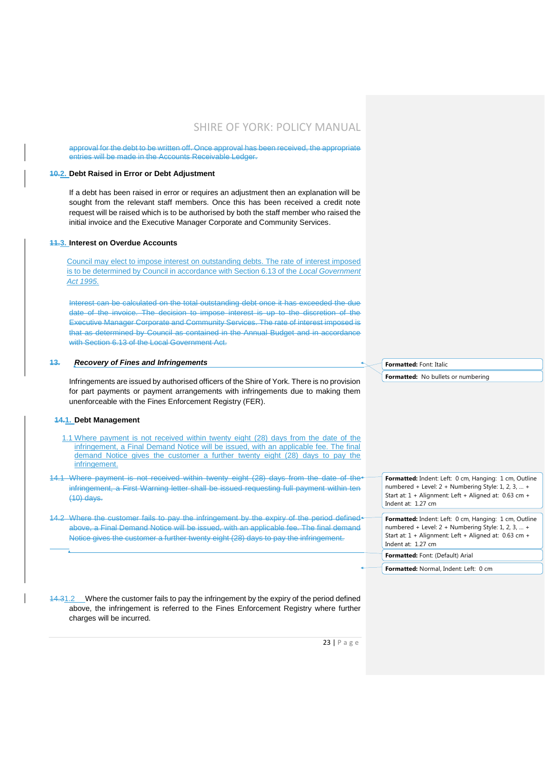approval for the debt to be written off. Once approval has been received, the appropriate entries will be made in the Accounts Receivable Ledger.

#### **10.2. Debt Raised in Error or Debt Adjustment**

If a debt has been raised in error or requires an adjustment then an explanation will be sought from the relevant staff members. Once this has been received a credit note request will be raised which is to be authorised by both the staff member who raised the initial invoice and the Executive Manager Corporate and Community Services.

#### **11.3. Interest on Overdue Accounts**

Council may elect to impose interest on outstanding debts. The rate of interest imposed is to be determined by Council in accordance with Section 6.13 of the *Local Government Act 1995*.

Interest can be calculated on the total outstanding debt once it has exceeded the due date of the invoice. The decision to impose interest is up to the discretion of the Executive Manager Corporate and Community Services. The rate of interest imposed is that as determined by Council as contained in the Annual Budget and in accordance with Section 6.13 of the Local Government Act.

#### **13.** *Recovery of Fines and Infringements*

Infringements are issued by authorised officers of the Shire of York. There is no provision for part payments or payment arrangements with infringements due to making them unenforceable with the Fines Enforcement Registry (FER).

#### **14.1. Debt Management**

- 1.1 Where payment is not received within twenty eight (28) days from the date of the infringement, a Final Demand Notice will be issued, with an applicable fee. The final demand Notice gives the customer a further twenty eight (28) days to pay the infringement.
- 14.1 Where payment is not received within twenty eight (28) days from the date of the infringement, a First Warning letter shall be issued requesting full payment within ten (10) days.
- 14.2 Where the customer fails to pay the infringement by the expiry of the period defined above, a Final Demand Notice will be issued, with an applicable fee. The final demand Notice gives the customer a further twenty eight (28) days to pay the infringement.

14.31.2 Where the customer fails to pay the infringement by the expiry of the period defined above, the infringement is referred to the Fines Enforcement Registry where further charges will be incurred.

**Formatted:** Font: Italic

**Formatted:** No bullets or numbering

**Formatted:** Indent: Left: 0 cm, Hanging: 1 cm, Outline numbered + Level: 2 + Numbering Style: 1, 2, 3, … + Start at: 1 + Alignment: Left + Aligned at: 0.63 cm + Indent at: 1.27 cm

**Formatted:** Indent: Left: 0 cm, Hanging: 1 cm, Outline numbered + Level: 2 + Numbering Style: 1, 2, 3, … + Start at: 1 + Alignment: Left + Aligned at: 0.63 cm + Indent at: 1.27 cm **Formatted:** Font: (Default) Arial

**Formatted:** Normal, Indent: Left: 0 cm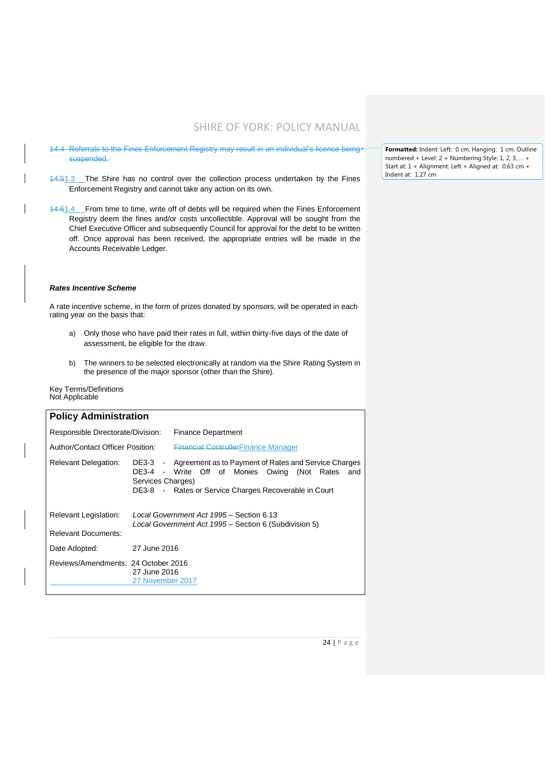- 14.4 Referrals to the Fines Enforcement Registry may result in an individual's licence being. suspended.
- 14.51.3 The Shire has no control over the collection process undertaken by the Fines Enforcement Registry and cannot take any action on its own.
- 14.61.4 From time to time, write off of debts will be required when the Fines Enforcement Registry deem the fines and/or costs uncollectible. Approval will be sought from the Chief Executive Officer and subsequently Council for approval for the debt to be written off. Once approval has been received, the appropriate entries will be made in the Accounts Receivable Ledger.

#### *Rates Incentive Scheme*

A rate incentive scheme, in the form of prizes donated by sponsors, will be operated in each rating year on the basis that:

- a) Only those who have paid their rates in full, within thirty-five days of the date of assessment, be eligible for the draw.
- b) The winners to be selected electronically at random via the Shire Rating System in the presence of the major sponsor (other than the Shire).

Key Terms/Definitions Not Applicable

| <b>Policy Administration</b>                        |                                  |                                                                                                                                                                                 |  |  |  |
|-----------------------------------------------------|----------------------------------|---------------------------------------------------------------------------------------------------------------------------------------------------------------------------------|--|--|--|
| Responsible Directorate/Division:                   |                                  | <b>Finance Department</b>                                                                                                                                                       |  |  |  |
| Author/Contact Officer Position:                    |                                  | <b>Financial ControllerFinance Manager</b>                                                                                                                                      |  |  |  |
| <b>Relevant Delegation:</b>                         | Services Charges)                | DE3-3 - Agreement as to Payment of Rates and Service Charges<br>DE3-4 - Write Off of Monies Owing (Not<br>Rates<br>and<br>DE3-8 - Rates or Service Charges Recoverable in Court |  |  |  |
| Relevant Legislation:<br><b>Relevant Documents:</b> |                                  | Local Government Act 1995 - Section 6.13<br>Local Government Act 1995 – Section 6 (Subdivision 5)                                                                               |  |  |  |
| Date Adopted:                                       | 27 June 2016                     |                                                                                                                                                                                 |  |  |  |
| Reviews/Amendments: 24 October 2016                 | 27 June 2016<br>27 November 2017 |                                                                                                                                                                                 |  |  |  |

**Formatted:** Indent: Left: 0 cm, Hanging: 1 cm, Outline numbered + Level: 2 + Numbering Style: 1, 2, 3, … + Start at: 1 + Alignment: Left + Aligned at: 0.63 cm + Indent at: 1.27 cm